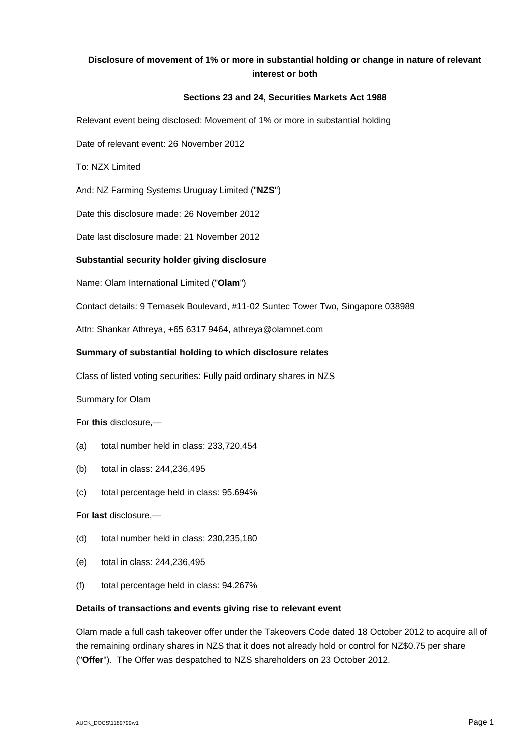# **Disclosure of movement of 1% or more in substantial holding or change in nature of relevant interest or both**

## **Sections 23 and 24, Securities Markets Act 1988**

Relevant event being disclosed: Movement of 1% or more in substantial holding

Date of relevant event: 26 November 2012

To: NZX Limited

And: NZ Farming Systems Uruguay Limited ("**NZS**")

Date this disclosure made: 26 November 2012

Date last disclosure made: 21 November 2012

### **Substantial security holder giving disclosure**

Name: Olam International Limited ("**Olam**")

Contact details: 9 Temasek Boulevard, #11-02 Suntec Tower Two, Singapore 038989

Attn: Shankar Athreya, +65 6317 9464, athreya@olamnet.com

#### **Summary of substantial holding to which disclosure relates**

Class of listed voting securities: Fully paid ordinary shares in NZS

Summary for Olam

For **this** disclosure,—

- (a) total number held in class: 233,720,454
- (b) total in class: 244,236,495
- (c) total percentage held in class: 95.694%

For **last** disclosure,—

- (d) total number held in class: 230,235,180
- (e) total in class: 244,236,495
- (f) total percentage held in class: 94.267%

#### **Details of transactions and events giving rise to relevant event**

Olam made a full cash takeover offer under the Takeovers Code dated 18 October 2012 to acquire all of the remaining ordinary shares in NZS that it does not already hold or control for NZ\$0.75 per share ("**Offer**"). The Offer was despatched to NZS shareholders on 23 October 2012.